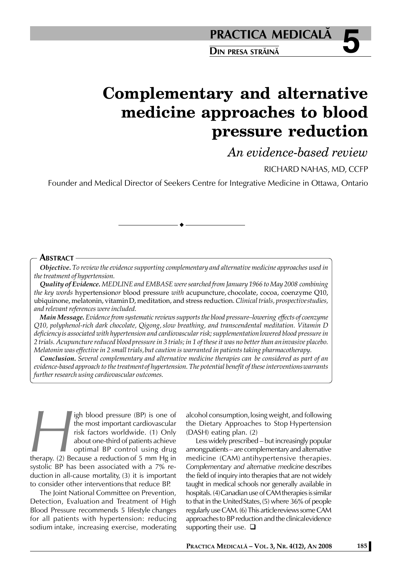**5 PRACTICA MEDICALÅ**

**DIN PRESA STRÅINÅ**

# **Complementary and alternative medicine approaches to blood pressure reduction**

*An evidence-based review*

RICHARD NAHAS, MD, CCFP

Founder and Medical Director of Seekers Centre for Integrative Medicine in Ottawa, Ontario

## **ABSTRACT**

*Objective. To review the evidence supporting complementary and alternative medicine approaches used in the treatment of hypertension.*

*Quality of Evidence. MEDLINE and EMBASE were searched from January 1966 to May 2008 combining the key words* hypertension*or* blood pressure *with* acupuncture, chocolate, cocoa, coenzyme Q10, ubiquinone, melatonin, vitaminD, meditation, and stress reduction. *Clinical trials, prospectivestudies, and relevant references were included.*

*Main Message. Evidence from systematic reviews supports the blood pressure–lowering effects of coenzyme Q10, polyphenol-rich dark chocolate, Qigong,slow breathing, and transcendental meditation. Vitamin D deficiencyis associated with hypertension and cardiovascular risk; supplementationlowered blood pressure in 2 trials. Acupuncture reduced bloodpressure in 3 trials; in 1 of these it was no better than aninvasive placebo. Melatonin was effective in 2 small trials,but caution is warranted in patients taking pharmacotherapy.*

*Conclusion. Several complementary and alternative medicine therapies can be considered as part of an evidence-based approach to the treatmentof hypertension. The potential benefit of these interventionswarrants further research using cardiovascular outcomes.*

**High blood pressure (BP) is one of<br>the most important cardiovascular<br>risk factors worldwide. (1) Only<br>about one-third of patients achieve<br>optimal BP control using drug<br>therapy. (2) Because a reduction of 5 mm Hg in<br>systol** the most important cardiovascular risk factors worldwide. (1) Only about one-third of patients achieve optimal BP control using drug therapy. (2) Because a reduction of 5 mm Hg in systolic BP has been associated with a 7% reduction in all-cause mortality, (3) it is important to consider other interventions that reduce BP.

The Joint National Committee on Prevention, Detection, Evaluation and Treatment of High Blood Pressure recommends 5 lifestyle changes for all patients with hypertension: reducing sodium intake, increasing exercise, moderating alcohol consumption, losing weight, and following the Dietary Approaches to Stop Hypertension (DASH) eating plan. (2)

Less widely prescribed – but increasingly popular amongpatients – are complementary and alternative medicine (CAM) antihypertensive therapies. *Complementary and alternative medicine* describes the field of inquiry into therapies that are not widely taught in medical schools nor generally available in hospitals. (4)Canadian use of CAM therapies is similar to that in the UnitedStates,(5) where 36% of people regularly use CAM. (6) This articlereviews some CAM approaches to BP reduction and the clinicalevidence supporting their use.  $\square$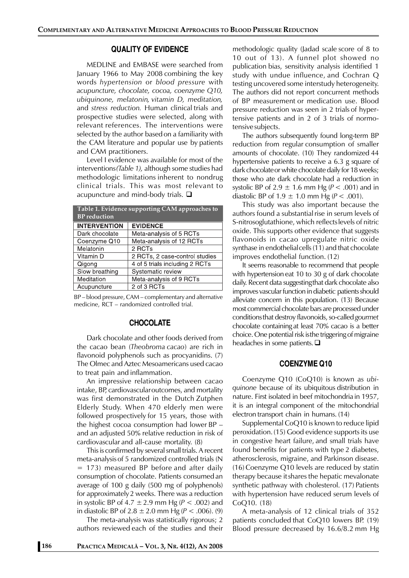# **QUALITY OF EVIDENCE**

MEDLINE and EMBASE were searched from January 1966 to May 2008 combining the key words *hypertension* or *blood pressure* with *acupuncture, chocolate, cocoa, coenzyme Q10, ubiquinone, melatonin, vitamin D, meditation,* and *stress reduction.* Human clinical trials and prospective studies were selected, along with relevant references. The interventions were selected by the author basedon a familiarity with the CAM literature and popular use by patients and CAM practitioners.

Level I evidence was available for most of the interventions*(Table 1),* although some studies had methodologic limitations inherent to nondrug clinical trials. This was most relevant to acupuncture and mind-body trials.  $\square$ 

| Table 1. Evidence supporting CAM approaches to<br><b>BP</b> reduction |                                |
|-----------------------------------------------------------------------|--------------------------------|
| <b>INTERVENTION</b>                                                   | <b>EVIDENCE</b>                |
| Dark chocolate                                                        | Meta-analysis of 5 RCTs        |
| Coenzyme Q10                                                          | Meta-analysis of 12 RCTs       |
| Melatonin                                                             | 2 RCTs                         |
| Vitamin D                                                             | 2 RCTs, 2 case-control studies |
| Qigong                                                                | 4 of 5 trials including 2 RCTs |
| Slow breathing                                                        | Systematic review              |
| Meditation                                                            | Meta-analysis of 9 RCTs        |
| Acupuncture                                                           | 2 of 3 RCTs                    |

BP – blood pressure, CAM – complementary and alternative medicine, RCT – randomized controlled trial.

#### **CHOCOLATE**

Dark chocolate and other foods derived from the cacao bean (*Theobroma cacao*) are rich in flavonoid polyphenols such as procyanidins. (7) The Olmec and Aztec Mesoamericans used cacao to treat pain and inflammation.

An impressive relationship between cacao intake, BP, cardiovascularoutcomes, and mortality was first demonstrated in the Dutch Zutphen Elderly Study. When 470 elderly men were followed prospectively for 15 years, those with the highest cocoa consumption had lower BP – and an adjusted 50% relative reduction in risk of cardiovascular and all-cause mortality. (8)

This is confirmed by several small trials. A recent meta-analysis of 5 randomized controlled trials (N  $=$  173) measured BP before and after daily consumption of chocolate. Patients consumed an average of 100 g daily (500 mg of polyphenols) for approximately2 weeks. There was a reduction in systolic BP of 4.7  $\pm$  2.9 mm Hg ( $P < .002$ ) and in diastolic BP of  $2.8 \pm 2.0$  mm Hg ( $P < .006$ ). (9)

The meta-analysis was statistically rigorous; 2 authors reviewed each of the studies and their methodologic quality (Jadad scale score of 8 to 10 out of 13). A funnel plot showed no publication bias, sensitivity analysis identified 1 study with undue influence, and Cochran Q testing uncovered some interstudy heterogeneity. The authors did not report concurrent methods of BP measurement or medication use. Blood pressure reduction was seen in 2 trials of hypertensive patients and in 2 of 3 trials of normotensive subjects.

The authors subsequently found long-term BP reduction from regular consumption of smaller amounts of chocolate. (10) They randomized 44 hypertensive patients to receive a 6.3 g square of dark chocolateor white chocolate daily for 18 weeks; those who ate dark chocolate had a reduction in systolic BP of  $2.9 \pm 1.6$  mm Hg ( $P < .001$ ) and in diastolic BP of  $1.9 \pm 1.0$  mm Hg ( $P < .001$ ).

This study was also important because the authors found a substantial rise in serum levels of S-nitrosoglutathione, which reflectslevels of nitric oxide. This supports other evidence that suggests flavonoids in cacao upregulate nitric oxide synthase in endothelialcells (11) and that chocolate improves endothelial function. (12)

It seems reasonable to recommend that people with hypertension eat 10 to 30 g of dark chocolate daily. Recent data suggestingthat dark chocolate also improves vascular function in diabetic patients should alleviate concern in this population. (13) Because most commercial chocolate bars are processed under conditionsthat destroy flavonoids, so-called *gourmet* chocolate containing at least 70% cacao is a better choice. One potential risk isthe triggering of migraine headaches in some patients.  $\square$ 

# **COENZYME Q10**

Coenzyme Q10 (CoQ10) is known as *ubiquinone* because of its ubiquitous distribution in nature. First isolated in beef mitochondria in 1957, it is an integral component of the mitochondrial electron transport chain in humans. (14)

Supplemental CoQ10 is known to reduce lipid peroxidation.(15) Good evidence supports its use in congestive heart failure, and small trials have found benefits for patients with type 2 diabetes, atherosclerosis, migraine, and Parkinson disease. (16) Coenzyme Q10 levels are reduced by statin therapy because itshares the hepatic mevalonate synthetic pathway with cholesterol. (17) Patients with hypertension have reduced serum levels of CoQ10. (18)

A meta-analysis of 12 clinical trials of 352 patients concluded that CoQ10 lowers BP. (19) Blood pressure decreased by 16.6/8.2 mm Hg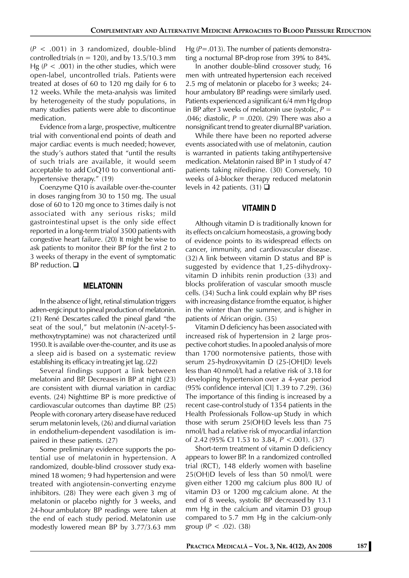(*P* < .001) in 3 randomized, double-blind controlled trials ( $n = 120$ ), and by 13.5/10.3 mm Hg ( $P < .001$ ) in the other studies, which were open-label, uncontrolled trials. Patients were treated at doses of 60 to 120 mg daily for 6 to 12 weeks. While the meta-analysis was limited by heterogeneity of the study populations, in many studies patients were able to discontinue medication.

Evidence from a large, prospective, multicentre trial with conventional end points of death and major cardiac events is much needed; however, the study's authors stated that "until the results of such trials are available, it would seem acceptable to add CoQ10 to conventional antihypertensive therapy." (19)

Coenzyme Q10 is available over-the-counter in doses ranging from 30 to 150 mg. The usual dose of 60 to 120 mg once to 3 times daily is not associated with any serious risks; mild gastrointestinal upset is the only side effect reported in a long-term trialof 3500 patients with congestive heart failure. (20) It might be wise to ask patients to monitor their BP for the first 2 to 3 weeks of therapy in the event of symptomatic BP reduction.  $\square$ 

### **MELATONIN**

In the absence of light, retinal stimulation triggers adren-ergicinput to pineal production of melatonin. (21) René Descartes called the pineal gland "the seat of the soul," but melatonin (*N*-acetyl-5 methoxytryptamine) was not characterized until 1950.It is available over-the-counter, and its use as a sleep aid is based on a systematic review establishing its efficacy in treating jet lag. (22)

Several findings support a link between melatonin and BP. Decreases in BP at night (23) are consistent with diurnal variation in cardiac events. (24) Nighttime BP is more predictive of cardiovascular outcomes than daytime BP. (25) People with coronary artery diseasehave reduced serum melatonin levels, (26) and diurnal variation in endothelium-dependent vasodilation is impaired in these patients. (27)

Some preliminary evidence supports the potential use of melatonin in hypertension. A randomized, double-blind crossover study examined 18 women; 9 had hypertension and were treated with angiotensin-converting enzyme inhibitors. (28) They were each given 3 mg of melatonin or placebo nightly for 3 weeks, and 24-hour ambulatory BP readings were taken at the end of each study period. Melatonin use modestly lowered mean BP by 3.77/3.63 mm Hg (P=.013). The number of patients demonstrating a nocturnal BP-drop rose from 39% to 84%.

In another double-blind crossover study, 16 men with untreated hypertension each received 2.5 mg of melatonin or placebo for 3 weeks; 24 hour ambulatory BP readings were similarly used. Patients experienced a significant 6/4 mm Hg drop in BP after 3 weeks of melatonin use (systolic,  $P =$ .046; diastolic, *P* = .020). (29) There was also a nonsignificant trend to greater diurnalBP variation.

While there have been no reported adverse events associated with use of melatonin, caution is warranted in patients taking antihypertensive medication. Melatonin raised BP in 1 studyof 47 patients taking nifedipine. (30) Conversely, 10 weeks of â-blocker therapy reduced melatonin levels in 42 patients. (31)  $\Box$ 

# **VITAMIN D**

Although vitamin D is traditionally known for its effects oncalcium homeostasis, a growing body of evidence points to its widespread effects on cancer, immunity, and cardiovascular disease. (32) A link between vitamin D status and BP is suggested by evidence that 1,25-dihydroxyvitamin D inhibits renin production (33) and blocks proliferation of vascular smooth muscle cells. (34) Such a link could explain why BP rises with increasing distance fromthe equator, is higher in the winter than the summer, and is higher in patients of African origin. (35)

Vitamin D deficiency has been associated with increased risk of hypertension in 2 large prospective cohort studies. In apooled analysis of more than 1700 normotensive patients, those with serum 25-hydroxyvitamin D (25-[OH]D) levels less than 40 nmol/L had a relative risk of 3.18 for developing hypertension over a 4-year period (95% confidence interval [CI] 1.39 to 7.29). (36) The importance of this finding is increased by a recent case-control study of 1354 patients in the Health Professionals Follow-up Study in which those with serum 25(OH)D levels less than 75 nmol/L had a relative risk of myocardial infarction of 2.42 (95% CI 1.53 to 3.84, *P* <.001). (37)

Short-term treatment of vitamin D deficiency appears to lower BP. In a randomized controlled trial (RCT), 148 elderly women with baseline 25(OH)D levels of less than 50 nmol/L were given either 1200 mg calcium plus 800 IU of vitamin D3 or 1200 mg calcium alone. At the end of 8 weeks, systolic BP decreased by 13.1 mm Hg in the calcium and vitamin D3 group compared to 5.7 mm Hg in the calcium-only group ( $P < .02$ ). (38)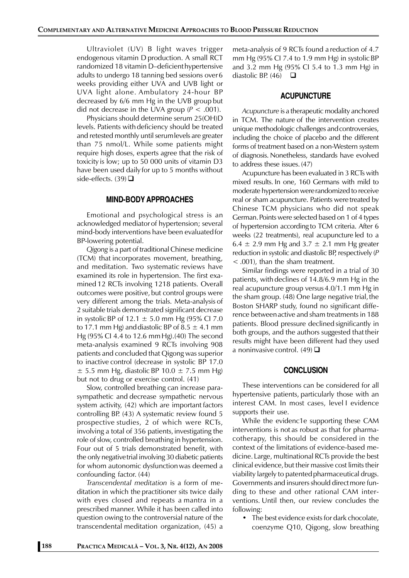Ultraviolet (UV) B light waves trigger endogenous vitamin D production. A small RCT randomized 18 vitamin D–deficienthypertensive adults to undergo 18 tanning bed sessions over6 weeks providing either UVA and UVB light or UVA light alone. Ambulatory 24-hour BP decreased by 6/6 mm Hg in the UVB group but did not decrease in the UVA group  $(P < .001)$ .

Physicians should determine serum 25(OH)D levels. Patients with deficiency should be treated and retested monthly until serumlevels are greater than 75 nmol/L. While some patients might require high doses, experts agree that the risk of toxicity is low; up to 50 000 units of vitamin D3 have been used daily for up to 5 months without side-effects.  $(39)$ 

#### **MIND-BODY APPROACHES**

Emotional and psychological stress is an acknowledged mediatorof hypertension; several mind-body interventions have been evaluatedfor BP-lowering potential.

*Qigong* is a part of traditional Chinese medicine (TCM) that incorporates movement, breathing, and meditation. Two systematic reviews have examined its role in hypertension. The first examined 12 RCTs involving 1218 patients. Overall outcomes were positive, but control groups were very different among the trials. Meta-analysis of 2 suitable trials demonstrated significant decrease in systolic BP of 12.1  $\pm$  5.0 mm Hg (95% CI 7.0) to 17.1 mm Hg) and diastolic BP of  $8.5 \pm 4.1$  mm Hg (95% CI 4.4 to 12.6 mmHg).(40) The second meta-analysis examined 9 RCTs involving 908 patients and concluded that Qigong was superior to inactive control (decrease in systolic BP 17.0  $\pm$  5.5 mm Hg, diastolic BP 10.0  $\pm$  7.5 mm Hg) but not to drug or exercise control. (41)

Slow, controlled breathing can increase parasympathetic and decrease sympathetic nervous system activity, (42) which are important factors controlling BP. (43) A systematic review found 5 prospective studies, 2 of which were RCTs, involving a total of 356 patients, investigating the role of slow, controlled breathing in hypertension. Four out of 5 trials demonstrated benefit, with the only negativetrial involving 30 diabetic patients for whom autonomic dysfunctionwas deemed a confounding factor. (44)

*Transcendental meditation* is a form of meditation in which the practitioner sits twice daily with eyes closed and repeats a mantra in a prescribed manner. While it has been called into question owing to the controversial nature of the transcendental meditation organization, (45) a

meta-analysis of 9 RCTs found a reduction of 4.7 mm Hg (95% CI 7.4 to 1.9 mm Hg) in systolicBP and 3.2 mm Hg (95% CI 5.4 to 1.3 mm Hg) in diastolic BP. (46)  $\Box$ 

# **ACUPUNCTURE**

*Acupuncture* is a therapeutic modality anchored in TCM. The nature of the intervention creates unique methodologic challenges andcontroversies, including the choice of placebo and the different forms of treatment based on a non-Western system of diagnosis. Nonetheless, standards have evolved to address these issues. (47)

Acupuncture has been evaluated in 3 RCTs with mixed results. In one, 160 Germans with mild to moderate hypertension wererandomized to receive real or sham acupuncture. Patients were treated by Chinese TCM physicians who did not speak German.Points were selected based on 1 of 4 types of hypertension according to TCM criteria. After 6 weeks (22 treatments), real acupuncture led to a  $6.4 \pm 2.9$  mm Hg and  $3.7 \pm 2.1$  mm Hg greater reduction in systolic and diastolic BP, respectively (*P* < .001), than the sham treatment.

Similar findings were reported in a trial of 30 patients, with declines of 14.8/6.9 mm Hg in the real acupuncture group versus 4.0/1.1 mm Hg in the sham group. (48) One large negative trial, the Boston SHARP study, found no significant difference betweenactive and sham treatments in 188 patients. Blood pressure declined significantly in both groups, and the authors suggested that their results might have been different had they used a noninvasive control.  $(49)$   $\Box$ 

#### **CONCLUSION**

These interventions can be considered for all hypertensive patients, particularly those with an interest CAM. In most cases, level I evidence supports their use.

While the evidenc1e supporting these CAM interventions is not as robust as that for pharmacotherapy, this should be considered in the context of the limitations of evidence-based medicine. Large, multinational RCTs provide the best clinical evidence,but their massive cost limits their viability largely to patented pharmaceutical drugs. Governments and insurers should directmore funding to these and other rational CAM interventions. Until then, our review concludes the following:

• The best evidence exists for dark chocolate, coenzyme Q10, Qigong, slow breathing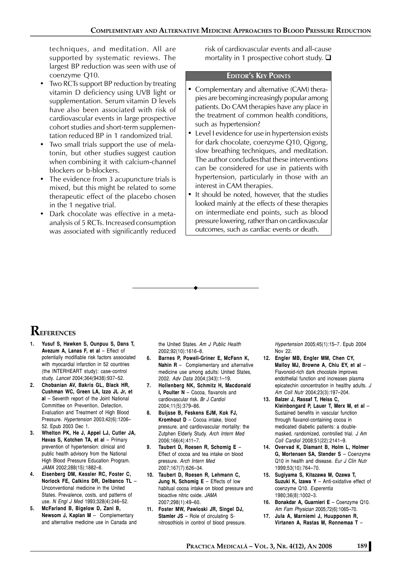techniques, and meditation. All are supported by systematic reviews. The largest BP reduction was seen with use of coenzyme Q10.

- Two RCTs support BP reduction by treating vitamin D deficiency using UVB light or supplementation. Serum vitamin D levels have also been associated with risk of cardiovascular events in large prospective cohort studies and short-term supplementation reduced BP in 1 randomized trial.
- Two small trials support the use of melatonin, but other studies suggest caution when combining it with calcium-channel blockers or b-blockers.
- The evidence from 3 acupuncture trials is mixed, but this might be related to some therapeutic effect of the placebo chosen in the 1 negative trial.
- Dark chocolate was effective in a metaanalysis of 5 RCTs. Increased consumption was associated with significantly reduced

risk of cardiovascular events and all-cause mortality in 1 prospective cohort study.  $\Box$ 

## **EDITOR'S KEY POINTS**

- Complementary and alternative (CAM) therapies are becoming increasingly popular among patients. Do CAM therapies have any place in the treatment of common health conditions, such as hypertension?
- Level I evidence for use in hypertension exists for dark chocolate, coenzyme Q10, Qigong, slow breathing techniques, and meditation. The author concludesthat these interventions can be considered for use in patients with hypertension, particularly in those with an interest in CAM therapies.
- It should be noted, however, that the studies looked mainly at the effects of these therapies on intermediate end points, such as blood pressure lowering, rather than on cardiovascular outcomes, such as cardiac events or death.

$$
\bullet
$$

# **REFERENCES**

- **1. Yusuf S, Hawken S, Ounpuu S, Dans T, Avezum A, Lanas F, et al** – Effect of potentially modifiable risk factors associated with myocardial infarction in 52 countries (the INTERHEART study): case-control study. *Lancet* 2004;364(9438):937–52.
- **2. Chobanian AV, Bakris GL, Black HR, Cushman WC, Green LA, Izzo JL Jr, et al** – Seventh report of the Joint National Committee on Prevention, Detection, Evaluation and Treatment of High Blood Pressure. *Hypertension* 2003;42(6):1206– 52. Epub 2003 Dec 1.
- **3. Whelton PK, He J, Appel LJ, Cutler JA, Havas S, Kotchen TA, et al** – Primary prevention of hypertension: clinical and public health advisory from the National High Blood Pressure Education Program. *JAMA* 2002;288(15):1882–8.
- **4. Eisenberg DM, Kessler RC, Foster C, Norlock FE, Calkins DR, Delbanco TL** – Unconventional medicine in the United States. Prevalence, costs, and patterns of use. *N Engl J Med* 1993;328(4):246–52.
- **5. McFarland B, Bigelow D, Zani B, Newsom J, Kaplan M** – Complementary and alternative medicine use in Canada and

the United States. *Am J Public Health* 2002;92(10):1616–8.

- **6. Barnes P, Powell-Griner E, McFann K, Nahin R** – Complementary and alternative medicine use among adults: United States, 2002. *Adv Data* 2004;(343):1–19.
- **7. Hollenberg NK, Schmitz H, Macdonald I, Poulter N** – Cocoa, flavanols and cardiovascular risk. *Br J Cardiol* 2004;11(5):379–86.
- **8. Buijsse B, Feskens EJM, Kok FJ, Kromhout D** – Cocoa intake, blood pressure, and cardiovascular mortality: the Zutphen Elderly Study. *Arch Intern Med* 2006;166(4):411–7.
- **9. Taubert D, Roesen R, Schomig E** Effect of cocoa and tea intake on blood pressure. *Arch Intern Med* 2007;167(7):626–34.
- **10. Taubert D, Roesen R, Lehmann C, Jung N, Schomig E** – Effects of low habitual cocoa intake on blood pressure and bioactive nitric oxide. *JAMA* 2007;298(1):49–60.
- **11. Foster MW, Pawloski JR, Singel DJ, Stamler JS** – Role of circulating Snitrosothiols in control of blood pressure.

*Hypertension* 2005;45(1):15–7. Epub 2004 Nov 22.

- **12. Engler MB, Engler MM, Chen CY, Malloy MJ, Browne A, Chiu EY, et al** – Flavonoid-rich dark chocolate improves endothelial function and increases plasma epicatechin concentration in healthy adults. *J Am Coll Nutr* 2004;23(3):197–204.
- **13. Balzer J, Rassaf T, Heiss C, Kleinbongard P, Lauer T, Merx M, et al** – Sustained benefits in vascular function through flavanol-containing cocoa in medicated diabetic patients: a doublemasked, randomized, controlled trial. *J Am Coll Cardiol* 2008;51(22):2141–9.
- **14. Overvad K, Diamant B, Holm L, Holmer G, Mortensen SA, Stender S** – Coenzyme Q10 in health and disease. *Eur J Clin Nutr* 1999;53(10):764–70.
- **15. Sugiyama S, Kitazawa M, Ozawa T, Suzuki K, Izawa Y** – Anti-oxidative effect of coenzyme Q10. *Experentia* 1980;36(8):1002–3.
- **16. Bonakdar A, Guarnieri E** Coenzyme Q10. *Am Fam Physician* 2005;72(6):1065–70. **17. Jula A, Marniemi J, Huupponen R, Virtanen A, Rastas M, Ronnemaa T** –